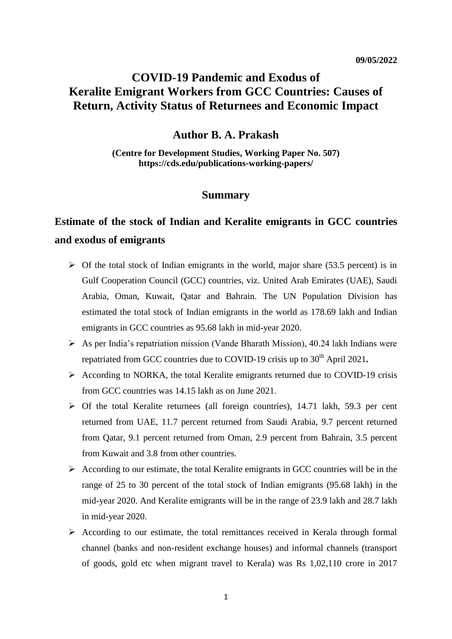## **COVID-19 Pandemic and Exodus of Keralite Emigrant Workers from GCC Countries: Causes of Return, Activity Status of Returnees and Economic Impact**

### **Author B. A. Prakash**

**(Centre for Development Studies, Working Paper No. 507) https://cds.edu/publications-working-papers/**

## **Summary**

# **Estimate of the stock of Indian and Keralite emigrants in GCC countries and exodus of emigrants**

- $\triangleright$  Of the total stock of Indian emigrants in the world, major share (53.5 percent) is in Gulf Cooperation Council (GCC) countries, viz. United Arab Emirates (UAE), Saudi Arabia, Oman, Kuwait, Qatar and Bahrain. The UN Population Division has estimated the total stock of Indian emigrants in the world as 178.69 lakh and Indian emigrants in GCC countries as 95.68 lakh in mid-year 2020.
- $\triangleright$  As per India's repatriation mission (Vande Bharath Mission), 40.24 lakh Indians were repatriated from GCC countries due to COVID-19 crisis up to 30<sup>th</sup> April 2021.
- $\triangleright$  According to NORKA, the total Keralite emigrants returned due to COVID-19 crisis from GCC countries was 14.15 lakh as on June 2021.
- $\triangleright$  Of the total Keralite returnees (all foreign countries), 14.71 lakh, 59.3 per cent returned from UAE, 11.7 percent returned from Saudi Arabia, 9.7 percent returned from Qatar, 9.1 percent returned from Oman, 2.9 percent from Bahrain, 3.5 percent from Kuwait and 3.8 from other countries.
- $\triangleright$  According to our estimate, the total Keralite emigrants in GCC countries will be in the range of 25 to 30 percent of the total stock of Indian emigrants (95.68 lakh) in the mid-year 2020. And Keralite emigrants will be in the range of 23.9 lakh and 28.7 lakh in mid-year 2020.
- $\triangleright$  According to our estimate, the total remittances received in Kerala through formal channel (banks and non-resident exchange houses) and informal channels (transport of goods, gold etc when migrant travel to Kerala) was Rs 1,02,110 crore in 2017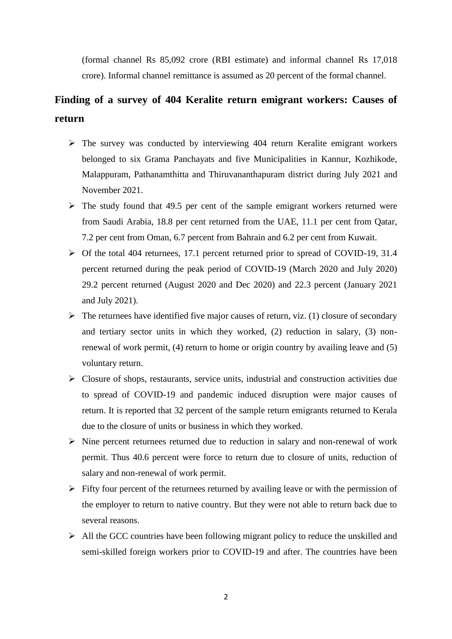(formal channel Rs 85,092 crore (RBI estimate) and informal channel Rs 17,018 crore). Informal channel remittance is assumed as 20 percent of the formal channel.

## **Finding of a survey of 404 Keralite return emigrant workers: Causes of return**

- $\triangleright$  The survey was conducted by interviewing 404 return Keralite emigrant workers belonged to six Grama Panchayats and five Municipalities in Kannur, Kozhikode, Malappuram, Pathanamthitta and Thiruvananthapuram district during July 2021 and November 2021.
- $\triangleright$  The study found that 49.5 per cent of the sample emigrant workers returned were from Saudi Arabia, 18.8 per cent returned from the UAE, 11.1 per cent from Qatar, 7.2 per cent from Oman, 6.7 percent from Bahrain and 6.2 per cent from Kuwait.
- $\triangleright$  Of the total 404 returnees, 17.1 percent returned prior to spread of COVID-19, 31.4 percent returned during the peak period of COVID-19 (March 2020 and July 2020) 29.2 percent returned (August 2020 and Dec 2020) and 22.3 percent (January 2021 and July 2021).
- $\triangleright$  The returnees have identified five major causes of return, viz. (1) closure of secondary and tertiary sector units in which they worked, (2) reduction in salary, (3) nonrenewal of work permit, (4) return to home or origin country by availing leave and (5) voluntary return.
- $\triangleright$  Closure of shops, restaurants, service units, industrial and construction activities due to spread of COVID-19 and pandemic induced disruption were major causes of return. It is reported that 32 percent of the sample return emigrants returned to Kerala due to the closure of units or business in which they worked.
- $\triangleright$  Nine percent returnees returned due to reduction in salary and non-renewal of work permit. Thus 40.6 percent were force to return due to closure of units, reduction of salary and non-renewal of work permit.
- $\triangleright$  Fifty four percent of the returnees returned by availing leave or with the permission of the employer to return to native country. But they were not able to return back due to several reasons.
- $\triangleright$  All the GCC countries have been following migrant policy to reduce the unskilled and semi-skilled foreign workers prior to COVID-19 and after. The countries have been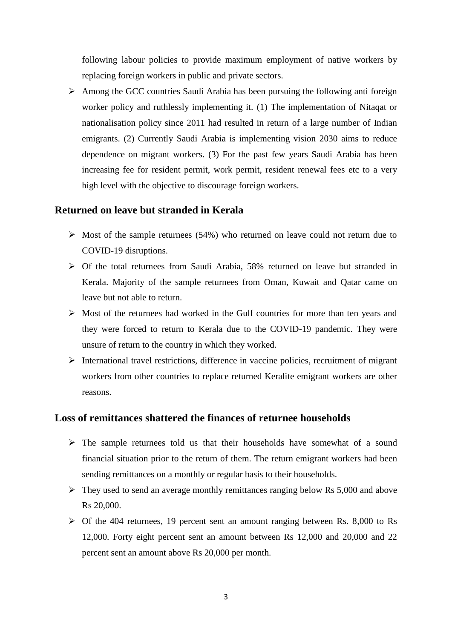following labour policies to provide maximum employment of native workers by replacing foreign workers in public and private sectors.

 $\triangleright$  Among the GCC countries Saudi Arabia has been pursuing the following antiworker policy and ruthlessly implementing it. (1) The implementation of Nitaqat or nationalisation policy since 2011 had resulted in return of a large number of Indian emigrants. (2) Currently Saudi Arabia is implementing vision 2030 aims to reduce dependence on migrant workers. (3) For the past few years Saudi Arabia has been increasing fee for resident permit, work permit, resident renewal fees etc to a very high level with the objective to discourage foreign workers.

## **Returned on leave but stranded in Kerala**

- $\triangleright$  Most of the sample returnees (54%) who returned on leave could not return due to COVID-19 disruptions.
- Of the total returnees from Saudi Arabia, 58% returned on leave but stranded in Kerala. Majority of the sample returnees from Oman, Kuwait and Qatar came on leave but not able to return.
- $\triangleright$  Most of the returnees had worked in the Gulf countries for more than ten years and they were forced to return to Kerala due to the COVID-19 pandemic. They were unsure of return to the country in which they worked.
- $\triangleright$  International travel restrictions, difference in vaccine policies, recruitment of migrant workers from other countries to replace returned Keralite emigrant workers are other reasons.

#### **Loss of remittances shattered the finances of returnee households**

- $\triangleright$  The sample returnees told us that their households have somewhat of a sound financial situation prior to the return of them. The return emigrant workers had been sending remittances on a monthly or regular basis to their households.
- $\triangleright$  They used to send an average monthly remittances ranging below Rs 5,000 and above Rs 20,000.
- $\triangleright$  Of the 404 returnees, 19 percent sent an amount ranging between Rs. 8,000 to Rs 12,000. Forty eight percent sent an amount between Rs 12,000 and 20,000 and 22 percent sent an amount above Rs 20,000 per month.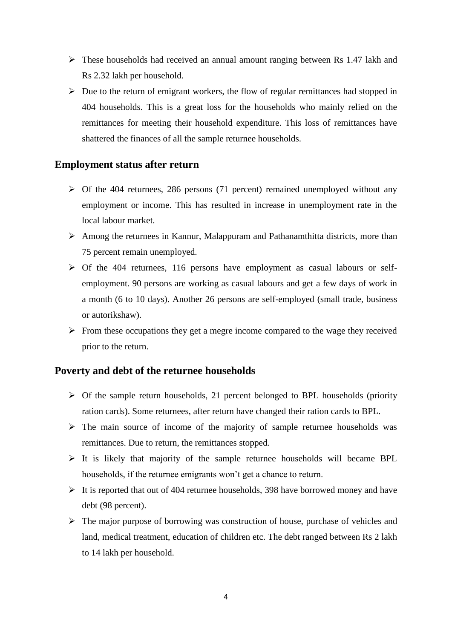- These households had received an annual amount ranging between Rs 1.47 lakh and Rs 2.32 lakh per household.
- $\triangleright$  Due to the return of emigrant workers, the flow of regular remittances had stopped in 404 households. This is a great loss for the households who mainly relied on the remittances for meeting their household expenditure. This loss of remittances have shattered the finances of all the sample returnee households.

## **Employment status after return**

- $\triangleright$  Of the 404 returnees, 286 persons (71 percent) remained unemployed without any employment or income. This has resulted in increase in unemployment rate in the local labour market.
- $\triangleright$  Among the returnees in Kannur, Malappuram and Pathanamthitta districts, more than 75 percent remain unemployed.
- $\triangleright$  Of the 404 returnees, 116 persons have employment as casual labours or selfemployment. 90 persons are working as casual labours and get a few days of work in a month (6 to 10 days). Another 26 persons are self-employed (small trade, business or autorikshaw).
- $\triangleright$  From these occupations they get a megre income compared to the wage they received prior to the return.

## **Poverty and debt of the returnee households**

- $\triangleright$  Of the sample return households, 21 percent belonged to BPL households (priority ration cards). Some returnees, after return have changed their ration cards to BPL.
- $\triangleright$  The main source of income of the majority of sample returnee households was remittances. Due to return, the remittances stopped.
- $\triangleright$  It is likely that majority of the sample returnee households will became BPL households, if the returnee emigrants won't get a chance to return.
- $\triangleright$  It is reported that out of 404 returnee households, 398 have borrowed money and have debt (98 percent).
- $\triangleright$  The major purpose of borrowing was construction of house, purchase of vehicles and land, medical treatment, education of children etc. The debt ranged between Rs 2 lakh to 14 lakh per household.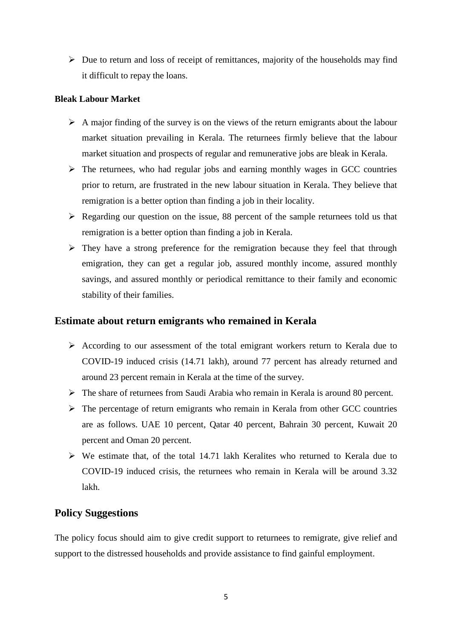$\triangleright$  Due to return and loss of receipt of remittances, majority of the households may find it difficult to repay the loans.

#### **Bleak Labour Market**

- $\triangleright$  A major finding of the survey is on the views of the return emigrants about the labour market situation prevailing in Kerala. The returnees firmly believe that the labour market situation and prospects of regular and remunerative jobs are bleak in Kerala.
- $\triangleright$  The returnees, who had regular jobs and earning monthly wages in GCC countries prior to return, are frustrated in the new labour situation in Kerala. They believe that remigration is a better option than finding a job in their locality.
- $\triangleright$  Regarding our question on the issue, 88 percent of the sample returnees told us that remigration is a better option than finding a job in Kerala.
- $\triangleright$  They have a strong preference for the remigration because they feel that through emigration, they can get a regular job, assured monthly income, assured monthly savings, and assured monthly or periodical remittance to their family and economic stability of their families.

## **Estimate about return emigrants who remained in Kerala**

- According to our assessment of the total emigrant workers return to Kerala due to COVID-19 induced crisis (14.71 lakh), around 77 percent has already returned and around 23 percent remain in Kerala at the time of the survey.
- The share of returnees from Saudi Arabia who remain in Kerala is around 80 percent.
- $\triangleright$  The percentage of return emigrants who remain in Kerala from other GCC countries are as follows. UAE 10 percent, Qatar 40 percent, Bahrain 30 percent, Kuwait 20 percent and Oman 20 percent.
- $\triangleright$  We estimate that, of the total 14.71 lakh Keralites who returned to Kerala due to COVID-19 induced crisis, the returnees who remain in Kerala will be around 3.32 lakh.

## **Policy Suggestions**

The policy focus should aim to give credit support to returnees to remigrate, give relief and support to the distressed households and provide assistance to find gainful employment.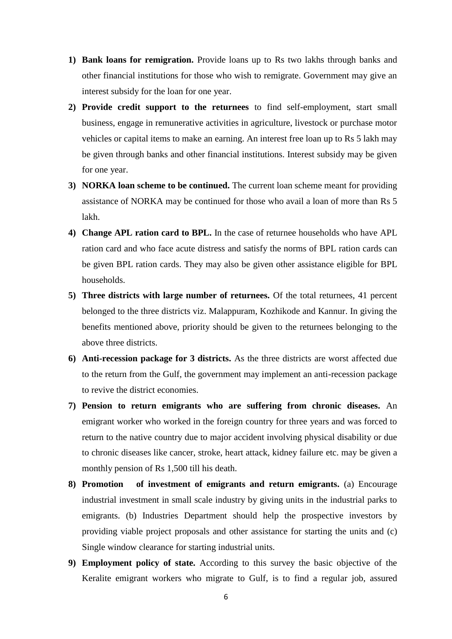- **1) Bank loans for remigration.** Provide loans up to Rs two lakhs through banks and other financial institutions for those who wish to remigrate. Government may give an interest subsidy for the loan for one year.
- **2) Provide credit support to the returnees** to find self-employment, start small business, engage in remunerative activities in agriculture, livestock or purchase motor vehicles or capital items to make an earning. An interest free loan up to Rs 5 lakh may be given through banks and other financial institutions. Interest subsidy may be given for one year.
- **3) NORKA loan scheme to be continued.** The current loan scheme meant for providing assistance of NORKA may be continued for those who avail a loan of more than Rs 5 lakh.
- **4) Change APL ration card to BPL.** In the case of returnee households who have APL ration card and who face acute distress and satisfy the norms of BPL ration cards can be given BPL ration cards. They may also be given other assistance eligible for BPL households.
- **5) Three districts with large number of returnees.** Of the total returnees, 41 percent belonged to the three districts viz. Malappuram, Kozhikode and Kannur. In giving the benefits mentioned above, priority should be given to the returnees belonging to the above three districts.
- **6) Anti-recession package for 3 districts.** As the three districts are worst affected due to the return from the Gulf, the government may implement an anti-recession package to revive the district economies.
- **7) Pension to return emigrants who are suffering from chronic diseases.** An emigrant worker who worked in the foreign country for three years and was forced to return to the native country due to major accident involving physical disability or due to chronic diseases like cancer, stroke, heart attack, kidney failure etc. may be given a monthly pension of Rs 1,500 till his death.
- **8) Promotion of investment of emigrants and return emigrants.** (a) Encourage industrial investment in small scale industry by giving units in the industrial parks to emigrants. (b) Industries Department should help the prospective investors by providing viable project proposals and other assistance for starting the units and (c) Single window clearance for starting industrial units.
- **9) Employment policy of state.** According to this survey the basic objective of the Keralite emigrant workers who migrate to Gulf, is to find a regular job, assured